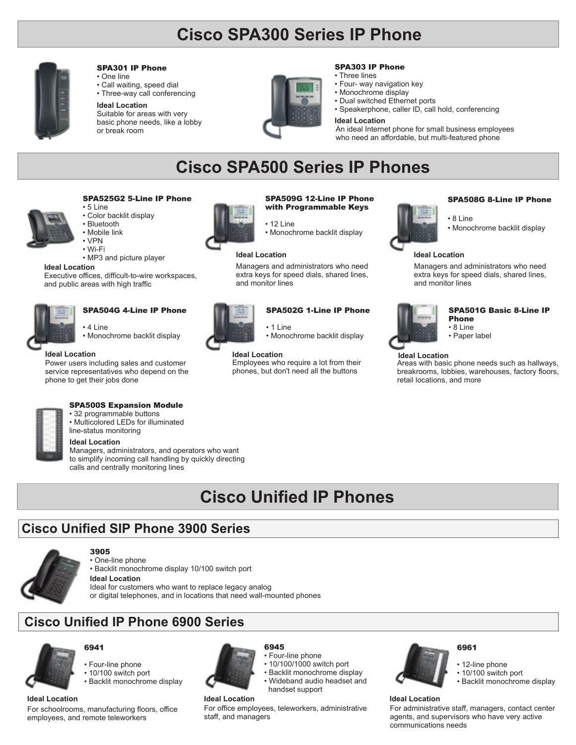# **Cisco SPA300 Series IP Phone**



#### SPA301 IP Phone

• One line • Call waiting, speed dial • Three-way call conferencing

#### **Ideal Location**

Suitable for areas with very basic phone needs, like a lobby or break room



## SPA303 IP Phone

- Three lines
- Four- way navigation key
- Monochrome display
- Dual switched Ethernet ports
- Speakerphone, caller ID, call hold, conferencing

#### **Ideal Location**

An ideal Internet phone for small business employees who need an affordable, but multi-featured phone

# **Cisco SPA500 Series IP Phones**

## • 5 Line • Color backlit display • Bluetooth • Mobile link

- VPN • Wi-Fi
- MP3 and picture player

#### **Ideal Location**

Executive offices, difficult-to-wire workspaces, and public areas with high traffic



## SPA504G 4-Line IP Phone

• 4 Line



service representatives who depend on the phone to get their jobs done



#### SPA500S Expansion Module

• 32 programmable buttons • Multicolored LEDs for illuminated line-status monitoring

#### **Ideal Location**

Managers, administrators, and operators who want to simplify incoming call handling by quickly directing calls and centrally monitoring lines

# **Cisco Unified IP Phones**

# **Cisco Unified SIP Phone 3900 Series**



#### 3905 • One-line phone

• Backlit monochrome display 10/100 switch port

Ideal for customers who want to replace legacy analog or digital telephones, and in locations that need wall-mounted phones **Ideal Location**

# **Cisco Unified IP Phone 6900 Series**



## • Four-line phone

6941

- 10/100 switch port
- Backlit monochrome display

### **Ideal Location Ideal Location Ideal Location**

For schoolrooms, manufacturing floors, office employees, and remote teleworkers



staff, and managers

### • Four-line phone

For office employees, teleworkers, administrative

6945

- 10/100/1000 switch port
- Backlit monochrome display
- Wideband audio headset and handset support

# 6961

## • 10/100 switch port

12-line phone

• Backlit monochrome display

For administrative staff, managers, contact center agents, and supervisors who have very active communications needs

## SPA509G 12-Line IP Phone with Programmable Keys

- 12 Line • Monochrome backlit display
	-

#### **Ideal Location Ideal Location**

Managers and administrators who need extra keys for speed dials, shared lines, and monitor lines



• 1 Line • Monochrome backlit display

Employees who require a lot from their phones, but don't need all the buttons Power users including sales and customer **Ideal Location Ideal Location Ideal Location**



#### SPA508G 8-Line IP Phone

- 8 Line
- Monochrome backlit display

Managers and administrators who need extra keys for speed dials, shared lines, and monitor lines



#### SPA501G Basic 8-Line IP Phone • 8 Line

- Paper label
- 

Areas with basic phone needs such as hallways, breakrooms, lobbies, warehouses, factory floors, retail locations, and more